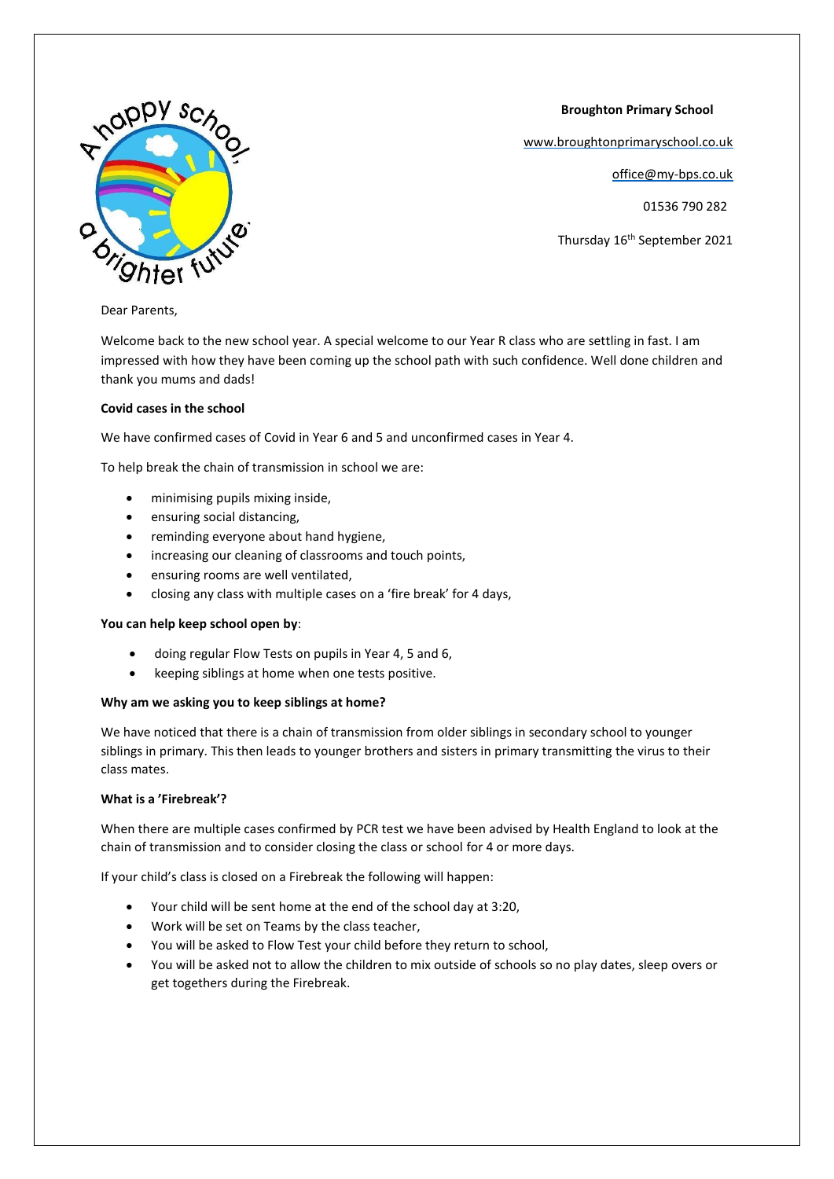

 **Broughton Primary School**

[www.broughtonprimaryschool.co.uk](http://www.broughtonprimaryschool.co.uk/)

office@my-bps.co.uk

01536 790 282

Thursday 16<sup>th</sup> September 2021

# Dear Parents,

Welcome back to the new school year. A special welcome to our Year R class who are settling in fast. I am impressed with how they have been coming up the school path with such confidence. Well done children and thank you mums and dads!

# **Covid cases in the school**

We have confirmed cases of Covid in Year 6 and 5 and unconfirmed cases in Year 4.

To help break the chain of transmission in school we are:

- minimising pupils mixing inside,
- ensuring social distancing,
- reminding everyone about hand hygiene,
- increasing our cleaning of classrooms and touch points,
- ensuring rooms are well ventilated,
- closing any class with multiple cases on a 'fire break' for 4 days,

### **You can help keep school open by**:

- doing regular Flow Tests on pupils in Year 4, 5 and 6,
- keeping siblings at home when one tests positive.

### **Why am we asking you to keep siblings at home?**

We have noticed that there is a chain of transmission from older siblings in secondary school to younger siblings in primary. This then leads to younger brothers and sisters in primary transmitting the virus to their class mates.

# **What is a 'Firebreak'?**

When there are multiple cases confirmed by PCR test we have been advised by Health England to look at the chain of transmission and to consider closing the class or school for 4 or more days.

If your child's class is closed on a Firebreak the following will happen:

- Your child will be sent home at the end of the school day at 3:20,
- Work will be set on Teams by the class teacher,
- You will be asked to Flow Test your child before they return to school,
- You will be asked not to allow the children to mix outside of schools so no play dates, sleep overs or get togethers during the Firebreak.